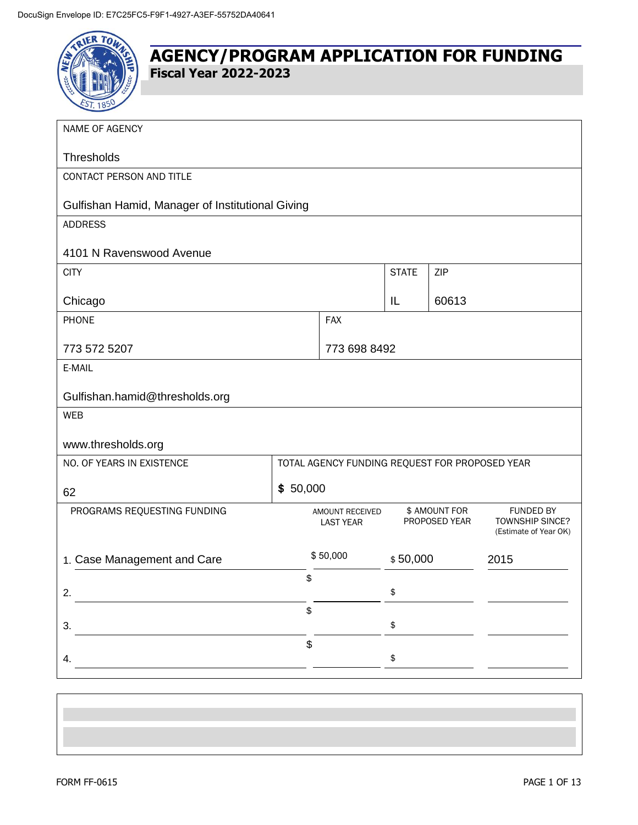

| NAME OF AGENCY                                   |          |                                                |              |                                |                                                              |  |
|--------------------------------------------------|----------|------------------------------------------------|--------------|--------------------------------|--------------------------------------------------------------|--|
| Thresholds                                       |          |                                                |              |                                |                                                              |  |
| CONTACT PERSON AND TITLE                         |          |                                                |              |                                |                                                              |  |
| Gulfishan Hamid, Manager of Institutional Giving |          |                                                |              |                                |                                                              |  |
| <b>ADDRESS</b>                                   |          |                                                |              |                                |                                                              |  |
| 4101 N Ravenswood Avenue                         |          |                                                |              |                                |                                                              |  |
| <b>CITY</b>                                      |          |                                                | <b>STATE</b> | ZIP                            |                                                              |  |
| Chicago                                          |          |                                                | IL           | 60613                          |                                                              |  |
| PHONE                                            |          | <b>FAX</b>                                     |              |                                |                                                              |  |
| 773 572 5207                                     |          | 773 698 8492                                   |              |                                |                                                              |  |
| E-MAIL                                           |          |                                                |              |                                |                                                              |  |
| Gulfishan.hamid@thresholds.org                   |          |                                                |              |                                |                                                              |  |
| <b>WEB</b>                                       |          |                                                |              |                                |                                                              |  |
| www.thresholds.org                               |          |                                                |              |                                |                                                              |  |
| NO. OF YEARS IN EXISTENCE                        |          | TOTAL AGENCY FUNDING REQUEST FOR PROPOSED YEAR |              |                                |                                                              |  |
| 62                                               | \$50,000 |                                                |              |                                |                                                              |  |
| PROGRAMS REQUESTING FUNDING                      |          | AMOUNT RECEIVED<br><b>LAST YEAR</b>            |              | \$ AMOUNT FOR<br>PROPOSED YEAR | <b>FUNDED BY</b><br>TOWNSHIP SINCE?<br>(Estimate of Year OK) |  |
| 1. Case Management and Care                      |          | \$50,000                                       | \$50,000     |                                | 2015                                                         |  |
| 2.                                               | \$       |                                                | \$           |                                |                                                              |  |
|                                                  | \$       |                                                |              |                                |                                                              |  |
| 3.                                               |          |                                                | \$           |                                |                                                              |  |
| 4.                                               | \$       |                                                | \$           |                                |                                                              |  |
|                                                  |          |                                                |              |                                |                                                              |  |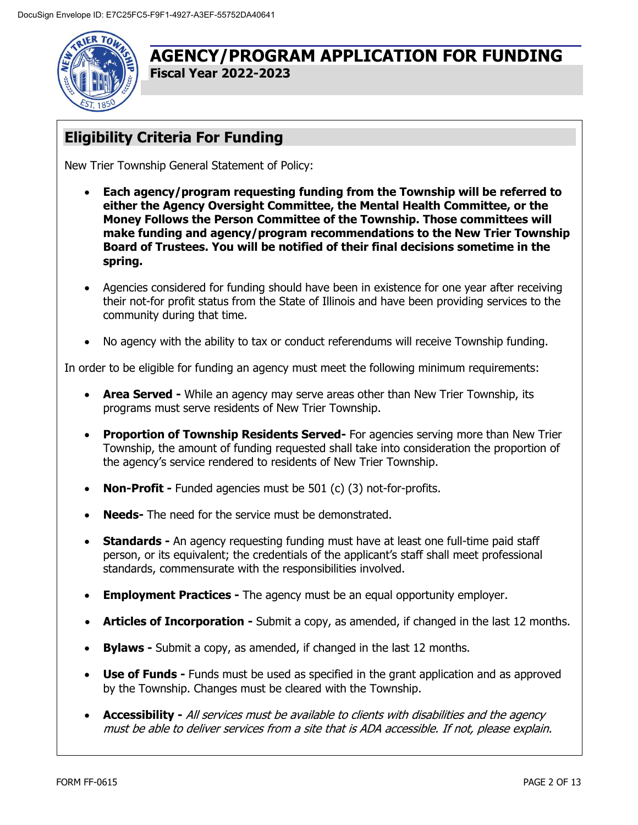

# **Eligibility Criteria For Funding**

New Trier Township General Statement of Policy:

- **Each agency/program requesting funding from the Township will be referred to either the Agency Oversight Committee, the Mental Health Committee, or the Money Follows the Person Committee of the Township. Those committees will make funding and agency/program recommendations to the New Trier Township Board of Trustees. You will be notified of their final decisions sometime in the spring.**
- Agencies considered for funding should have been in existence for one year after receiving their not-for profit status from the State of Illinois and have been providing services to the community during that time.
- No agency with the ability to tax or conduct referendums will receive Township funding.

In order to be eligible for funding an agency must meet the following minimum requirements:

- **Area Served -** While an agency may serve areas other than New Trier Township, its programs must serve residents of New Trier Township.
- **Proportion of Township Residents Served-** For agencies serving more than New Trier Township, the amount of funding requested shall take into consideration the proportion of the agency's service rendered to residents of New Trier Township.
- **Non-Profit -** Funded agencies must be 501 (c) (3) not-for-profits.
- **Needs-** The need for the service must be demonstrated.
- **Standards -** An agency requesting funding must have at least one full-time paid staff person, or its equivalent; the credentials of the applicant's staff shall meet professional standards, commensurate with the responsibilities involved.
- **Employment Practices -** The agency must be an equal opportunity employer.
- **Articles of Incorporation -** Submit a copy, as amended, if changed in the last 12 months.
- **Bylaws -** Submit a copy, as amended, if changed in the last 12 months.
- **Use of Funds -** Funds must be used as specified in the grant application and as approved by the Township. Changes must be cleared with the Township.
- **Accessibility -** All services must be available to clients with disabilities and the agency must be able to deliver services from a site that is ADA accessible. If not, please explain.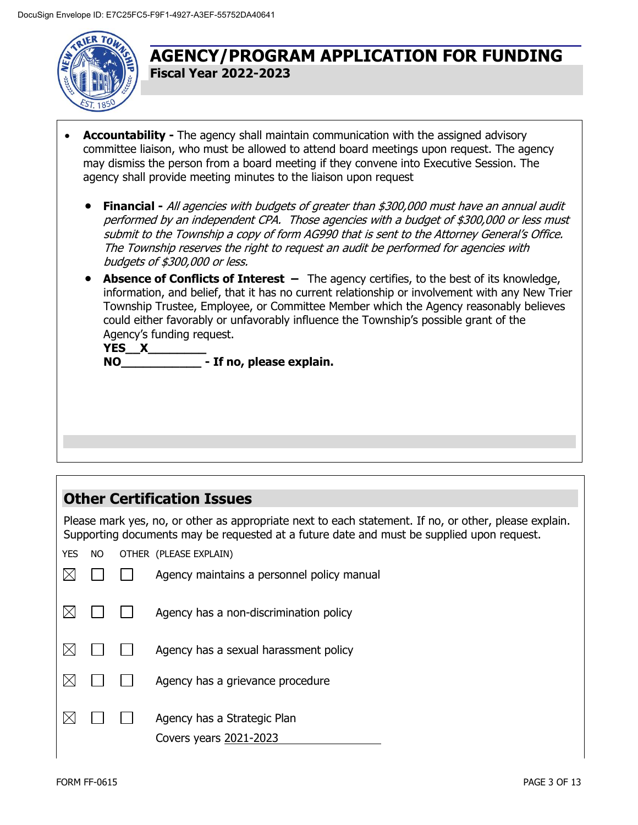

- **Accountability -** The agency shall maintain communication with the assigned advisory committee liaison, who must be allowed to attend board meetings upon request. The agency may dismiss the person from a board meeting if they convene into Executive Session. The agency shall provide meeting minutes to the liaison upon request
	- **Financial -** All agencies with budgets of greater than \$300,000 must have an annual audit performed by an independent CPA. Those agencies with a budget of \$300,000 or less must submit to the Township a copy of form AG990 that is sent to the Attorney General's Office. The Township reserves the right to request an audit be performed for agencies with budgets of \$300,000 or less.
	- **Absence of Conflicts of Interest –** The agency certifies, to the best of its knowledge, information, and belief, that it has no current relationship or involvement with any New Trier Township Trustee, Employee, or Committee Member which the Agency reasonably believes could either favorably or unfavorably influence the Township's possible grant of the Agency's funding request.

**YES\_\_X\_\_\_\_\_\_\_\_ NO\_\_\_\_\_\_\_\_\_\_\_ - If no, please explain.**

## **Other Certification Issues**

Please mark yes, no, or other as appropriate next to each statement. If no, or other, please explain. Supporting documents may be requested at a future date and must be supplied upon request.

YES NO OTHER (PLEASE EXPLAIN)

|  | Agency maintains a personnel policy manual            |
|--|-------------------------------------------------------|
|  | Agency has a non-discrimination policy                |
|  | Agency has a sexual harassment policy                 |
|  | Agency has a grievance procedure                      |
|  | Agency has a Strategic Plan<br>Covers years 2021-2023 |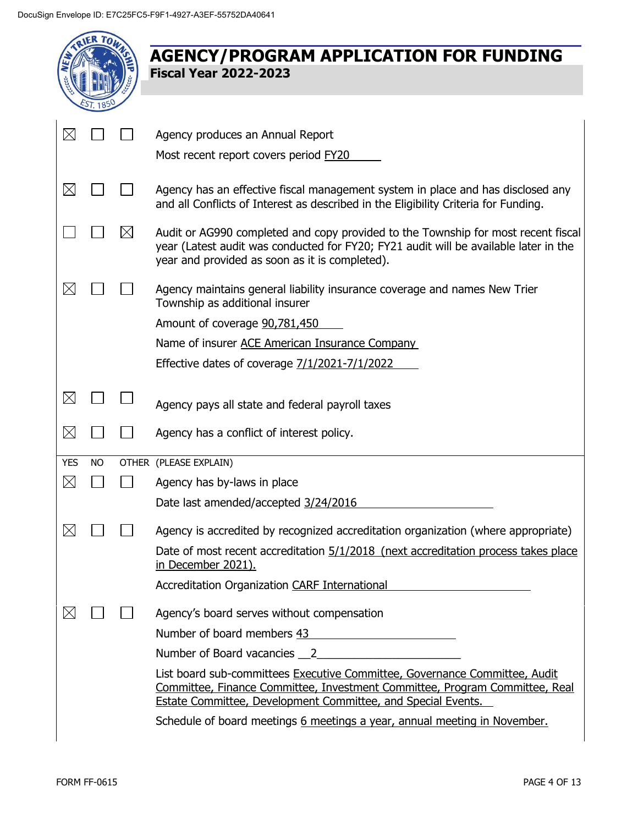|             |           |           | <b>AGENCY/PROGRAM APPLICATION FOR FUNDING</b><br><b>Fiscal Year 2022-2023</b>                                                                                                                                               |
|-------------|-----------|-----------|-----------------------------------------------------------------------------------------------------------------------------------------------------------------------------------------------------------------------------|
|             |           |           |                                                                                                                                                                                                                             |
| $\boxtimes$ |           |           | Agency produces an Annual Report                                                                                                                                                                                            |
|             |           |           | Most recent report covers period FY20                                                                                                                                                                                       |
| $\boxtimes$ |           |           | Agency has an effective fiscal management system in place and has disclosed any<br>and all Conflicts of Interest as described in the Eligibility Criteria for Funding.                                                      |
|             |           | $\bowtie$ | Audit or AG990 completed and copy provided to the Township for most recent fiscal<br>year (Latest audit was conducted for FY20; FY21 audit will be available later in the<br>year and provided as soon as it is completed). |
| $\boxtimes$ |           |           | Agency maintains general liability insurance coverage and names New Trier<br>Township as additional insurer                                                                                                                 |
|             |           |           | Amount of coverage 90,781,450                                                                                                                                                                                               |
|             |           |           | Name of insurer ACE American Insurance Company                                                                                                                                                                              |
|             |           |           | Effective dates of coverage 7/1/2021-7/1/2022                                                                                                                                                                               |
| $\boxtimes$ |           |           | Agency pays all state and federal payroll taxes                                                                                                                                                                             |
| $\boxtimes$ |           |           | Agency has a conflict of interest policy.                                                                                                                                                                                   |
| <b>YES</b>  | <b>NO</b> |           | OTHER (PLEASE EXPLAIN)                                                                                                                                                                                                      |
| $\boxtimes$ |           |           | Agency has by-laws in place                                                                                                                                                                                                 |
|             |           |           | Date last amended/accepted 3/24/2016                                                                                                                                                                                        |
| $\boxtimes$ |           |           | Agency is accredited by recognized accreditation organization (where appropriate)                                                                                                                                           |
|             |           |           | Date of most recent accreditation 5/1/2018 (next accreditation process takes place<br>in December 2021).                                                                                                                    |
|             |           |           | Accreditation Organization CARF International                                                                                                                                                                               |
| $\boxtimes$ |           |           | Agency's board serves without compensation                                                                                                                                                                                  |
|             |           |           | Number of board members 43                                                                                                                                                                                                  |
|             |           |           | Number of Board vacancies 2                                                                                                                                                                                                 |
|             |           |           | List board sub-committees Executive Committee, Governance Committee, Audit<br>Committee, Finance Committee, Investment Committee, Program Committee, Real<br>Estate Committee, Development Committee, and Special Events.   |
|             |           |           | Schedule of board meetings 6 meetings a year, annual meeting in November.                                                                                                                                                   |
|             |           |           |                                                                                                                                                                                                                             |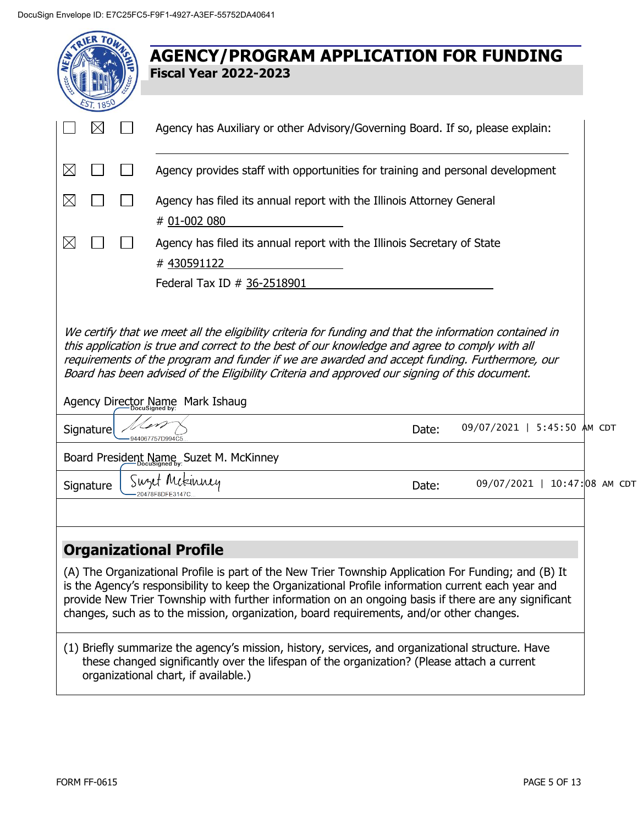|             |           | <b>AGENCY/PROGRAM APPLICATION FOR FUNDING</b><br><b>Fiscal Year 2022-2023</b>                                                                                                                                                                                                                                                                                                                                                                    |
|-------------|-----------|--------------------------------------------------------------------------------------------------------------------------------------------------------------------------------------------------------------------------------------------------------------------------------------------------------------------------------------------------------------------------------------------------------------------------------------------------|
|             |           | Agency has Auxiliary or other Advisory/Governing Board. If so, please explain:                                                                                                                                                                                                                                                                                                                                                                   |
| $\boxtimes$ |           | Agency provides staff with opportunities for training and personal development                                                                                                                                                                                                                                                                                                                                                                   |
| $\boxtimes$ |           | Agency has filed its annual report with the Illinois Attorney General<br># 01-002 080                                                                                                                                                                                                                                                                                                                                                            |
| $\boxtimes$ |           | Agency has filed its annual report with the Illinois Secretary of State<br>#430591122                                                                                                                                                                                                                                                                                                                                                            |
|             |           | Federal Tax ID # 36-2518901                                                                                                                                                                                                                                                                                                                                                                                                                      |
|             | Signature | this application is true and correct to the best of our knowledge and agree to comply with all<br>requirements of the program and funder if we are awarded and accept funding. Furthermore, our<br>Board has been advised of the Eligibility Criteria and approved our signing of this document.<br>Agency Director Name Mark Ishaug<br>09/07/2021   5:45:50 AM CDT<br>Date:                                                                     |
|             |           | Board President Name, Suzet M. McKinney                                                                                                                                                                                                                                                                                                                                                                                                          |
|             | Signature | Suset Mekinney<br>09/07/2021   10:47:08 AM CDT<br>Date:<br>20478F8DFF31470                                                                                                                                                                                                                                                                                                                                                                       |
|             |           | <b>Organizational Profile</b><br>(A) The Organizational Profile is part of the New Trier Township Application For Funding; and (B) It<br>is the Agency's responsibility to keep the Organizational Profile information current each year and<br>provide New Trier Township with further information on an ongoing basis if there are any significant<br>changes, such as to the mission, organization, board requirements, and/or other changes. |
|             |           | (1) Briefly summarize the agency's mission, history, services, and organizational structure. Have                                                                                                                                                                                                                                                                                                                                                |

these changed significantly over the lifespan of the organization? (Please attach a current organizational chart, if available.)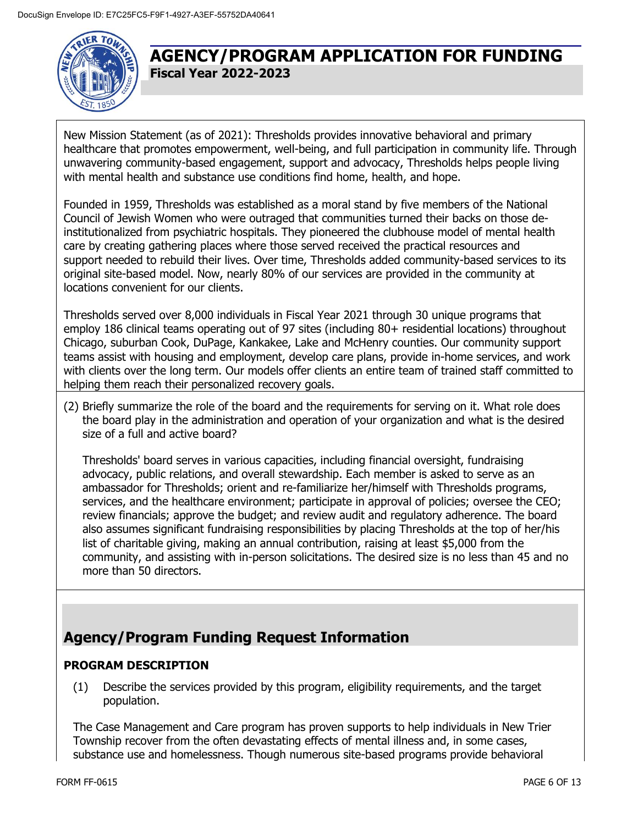

New Mission Statement (as of 2021): Thresholds provides innovative behavioral and primary healthcare that promotes empowerment, well-being, and full participation in community life. Through unwavering community-based engagement, support and advocacy, Thresholds helps people living with mental health and substance use conditions find home, health, and hope.

Founded in 1959, Thresholds was established as a moral stand by five members of the National Council of Jewish Women who were outraged that communities turned their backs on those deinstitutionalized from psychiatric hospitals. They pioneered the clubhouse model of mental health care by creating gathering places where those served received the practical resources and support needed to rebuild their lives. Over time, Thresholds added community-based services to its original site-based model. Now, nearly 80% of our services are provided in the community at locations convenient for our clients.

Thresholds served over 8,000 individuals in Fiscal Year 2021 through 30 unique programs that employ 186 clinical teams operating out of 97 sites (including 80+ residential locations) throughout Chicago, suburban Cook, DuPage, Kankakee, Lake and McHenry counties. Our community support teams assist with housing and employment, develop care plans, provide in-home services, and work with clients over the long term. Our models offer clients an entire team of trained staff committed to helping them reach their personalized recovery goals.

(2) Briefly summarize the role of the board and the requirements for serving on it. What role does the board play in the administration and operation of your organization and what is the desired size of a full and active board?

Thresholds' board serves in various capacities, including financial oversight, fundraising advocacy, public relations, and overall stewardship. Each member is asked to serve as an ambassador for Thresholds; orient and re-familiarize her/himself with Thresholds programs, services, and the healthcare environment; participate in approval of policies; oversee the CEO; review financials; approve the budget; and review audit and regulatory adherence. The board also assumes significant fundraising responsibilities by placing Thresholds at the top of her/his list of charitable giving, making an annual contribution, raising at least \$5,000 from the community, and assisting with in-person solicitations. The desired size is no less than 45 and no more than 50 directors.

# **Agency/Program Funding Request Information**

### **PROGRAM DESCRIPTION**

(1) Describe the services provided by this program, eligibility requirements, and the target population.

The Case Management and Care program has proven supports to help individuals in New Trier Township recover from the often devastating effects of mental illness and, in some cases, substance use and homelessness. Though numerous site-based programs provide behavioral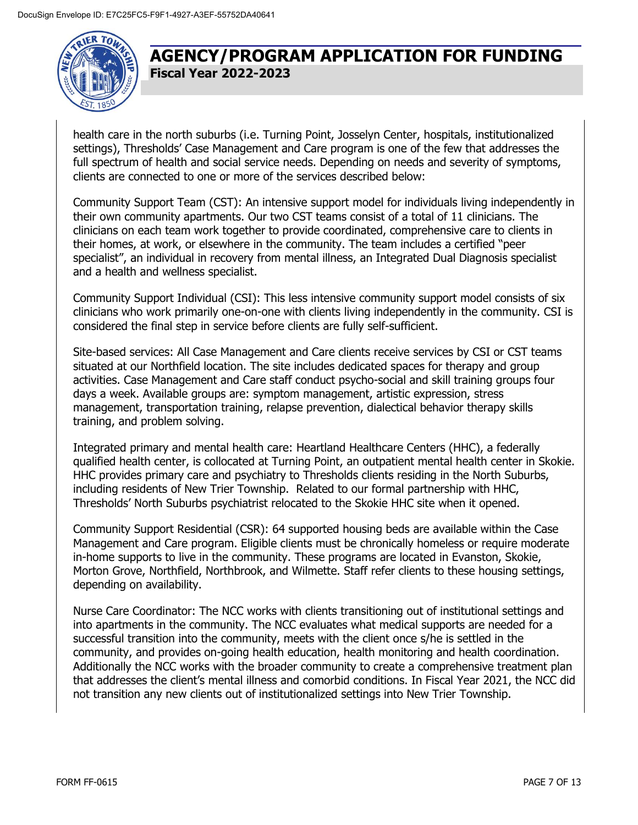

health care in the north suburbs (i.e. Turning Point, Josselyn Center, hospitals, institutionalized settings), Thresholds' Case Management and Care program is one of the few that addresses the full spectrum of health and social service needs. Depending on needs and severity of symptoms, clients are connected to one or more of the services described below:

Community Support Team (CST): An intensive support model for individuals living independently in their own community apartments. Our two CST teams consist of a total of 11 clinicians. The clinicians on each team work together to provide coordinated, comprehensive care to clients in their homes, at work, or elsewhere in the community. The team includes a certified "peer specialist", an individual in recovery from mental illness, an Integrated Dual Diagnosis specialist and a health and wellness specialist.

Community Support Individual (CSI): This less intensive community support model consists of six clinicians who work primarily one-on-one with clients living independently in the community. CSI is considered the final step in service before clients are fully self-sufficient.

Site-based services: All Case Management and Care clients receive services by CSI or CST teams situated at our Northfield location. The site includes dedicated spaces for therapy and group activities. Case Management and Care staff conduct psycho-social and skill training groups four days a week. Available groups are: symptom management, artistic expression, stress management, transportation training, relapse prevention, dialectical behavior therapy skills training, and problem solving.

Integrated primary and mental health care: Heartland Healthcare Centers (HHC), a federally qualified health center, is collocated at Turning Point, an outpatient mental health center in Skokie. HHC provides primary care and psychiatry to Thresholds clients residing in the North Suburbs, including residents of New Trier Township. Related to our formal partnership with HHC, Thresholds' North Suburbs psychiatrist relocated to the Skokie HHC site when it opened.

Community Support Residential (CSR): 64 supported housing beds are available within the Case Management and Care program. Eligible clients must be chronically homeless or require moderate in-home supports to live in the community. These programs are located in Evanston, Skokie, Morton Grove, Northfield, Northbrook, and Wilmette. Staff refer clients to these housing settings, depending on availability.

Nurse Care Coordinator: The NCC works with clients transitioning out of institutional settings and into apartments in the community. The NCC evaluates what medical supports are needed for a successful transition into the community, meets with the client once s/he is settled in the community, and provides on-going health education, health monitoring and health coordination. Additionally the NCC works with the broader community to create a comprehensive treatment plan that addresses the client's mental illness and comorbid conditions. In Fiscal Year 2021, the NCC did not transition any new clients out of institutionalized settings into New Trier Township.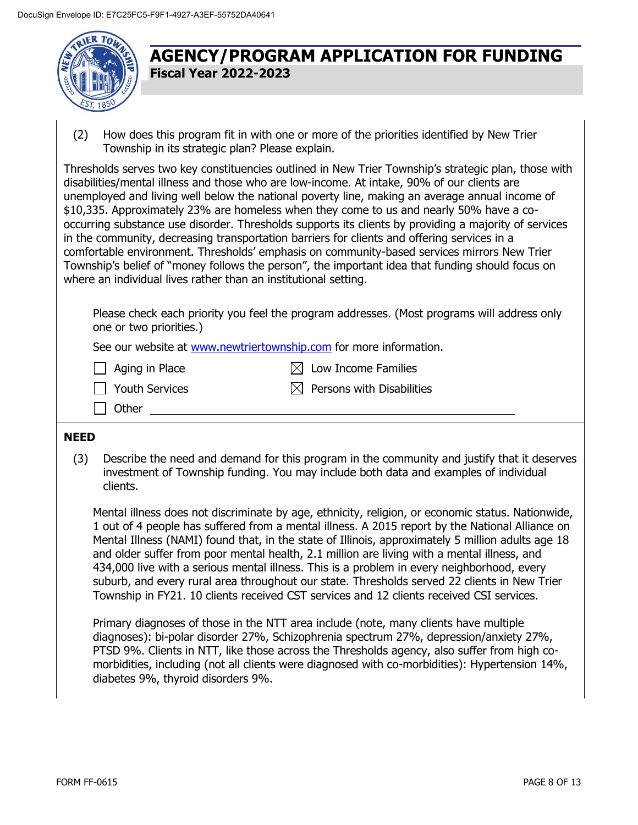

(2) How does this program fit in with one or more of the priorities identified by New Trier Township in its strategic plan? Please explain.

Thresholds serves two key constituencies outlined in New Trier Township's strategic plan, those with disabilities/mental illness and those who are low-income. At intake, 90% of our clients are unemployed and living well below the national poverty line, making an average annual income of \$10,335. Approximately 23% are homeless when they come to us and nearly 50% have a cooccurring substance use disorder. Thresholds supports its clients by providing a majority of services in the community, decreasing transportation barriers for clients and offering services in a comfortable environment. Thresholds' emphasis on community-based services mirrors New Trier Township's belief of "money follows the person", the important idea that funding should focus on where an individual lives rather than an institutional setting.

Please check each priority you feel the program addresses. (Most programs will address only one or two priorities.)

See our website at [www.newtriertownship.com](http://www.newtriertownship.com/) for more information.

 $\Box$  Aging in Place  $\boxtimes$  Low Income Families

 $\Box$  Youth Services  $\boxtimes$  Persons with Disabilities

Other

#### **NEED**

(3) Describe the need and demand for this program in the community and justify that it deserves investment of Township funding. You may include both data and examples of individual clients.

Mental illness does not discriminate by age, ethnicity, religion, or economic status. Nationwide, 1 out of 4 people has suffered from a mental illness. A 2015 report by the National Alliance on Mental Illness (NAMI) found that, in the state of Illinois, approximately 5 million adults age 18 and older suffer from poor mental health, 2.1 million are living with a mental illness, and 434,000 live with a serious mental illness. This is a problem in every neighborhood, every suburb, and every rural area throughout our state. Thresholds served 22 clients in New Trier Township in FY21. 10 clients received CST services and 12 clients received CSI services.

Primary diagnoses of those in the NTT area include (note, many clients have multiple diagnoses): bi-polar disorder 27%, Schizophrenia spectrum 27%, depression/anxiety 27%, PTSD 9%. Clients in NTT, like those across the Thresholds agency, also suffer from high comorbidities, including (not all clients were diagnosed with co-morbidities): Hypertension 14%, diabetes 9%, thyroid disorders 9%.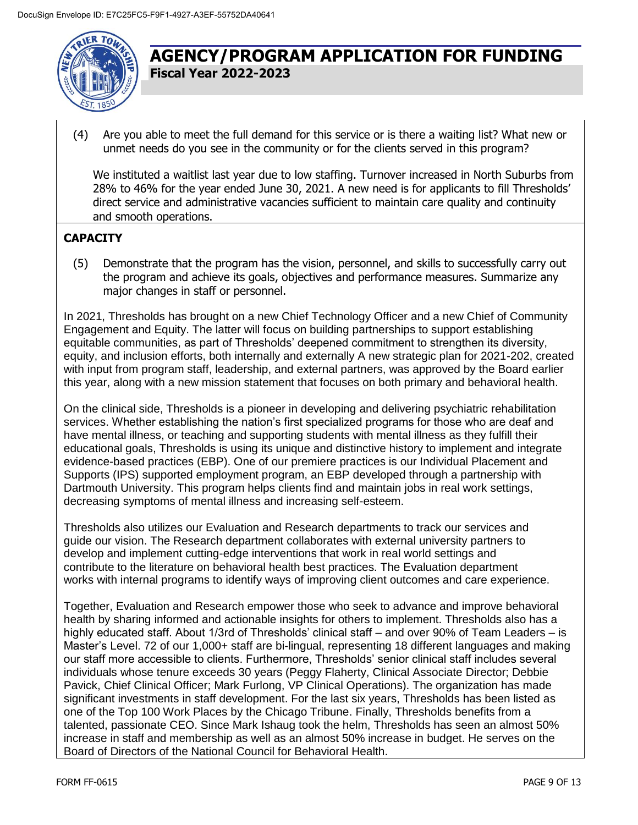

(4) Are you able to meet the full demand for this service or is there a waiting list? What new or unmet needs do you see in the community or for the clients served in this program?

We instituted a waitlist last year due to low staffing. Turnover increased in North Suburbs from 28% to 46% for the year ended June 30, 2021. A new need is for applicants to fill Thresholds' direct service and administrative vacancies sufficient to maintain care quality and continuity and smooth operations.

### **CAPACITY**

(5) Demonstrate that the program has the vision, personnel, and skills to successfully carry out the program and achieve its goals, objectives and performance measures. Summarize any major changes in staff or personnel.

In 2021, Thresholds has brought on a new Chief Technology Officer and a new Chief of Community Engagement and Equity. The latter will focus on building partnerships to support establishing equitable communities, as part of Thresholds' deepened commitment to strengthen its diversity, equity, and inclusion efforts, both internally and externally A new strategic plan for 2021-202, created with input from program staff, leadership, and external partners, was approved by the Board earlier this year, along with a new mission statement that focuses on both primary and behavioral health.

On the clinical side, Thresholds is a pioneer in developing and delivering psychiatric rehabilitation services. Whether establishing the nation's first specialized programs for those who are deaf and have mental illness, or teaching and supporting students with mental illness as they fulfill their educational goals, Thresholds is using its unique and distinctive history to implement and integrate evidence-based practices (EBP). One of our premiere practices is our Individual Placement and Supports (IPS) supported employment program, an EBP developed through a partnership with Dartmouth University. This program helps clients find and maintain jobs in real work settings, decreasing symptoms of mental illness and increasing self-esteem.

Thresholds also utilizes our Evaluation and Research departments to track our services and guide our vision. The Research department collaborates with external university partners to develop and implement cutting-edge interventions that work in real world settings and contribute to the literature on behavioral health best practices. The Evaluation department works with internal programs to identify ways of improving client outcomes and care experience.

Together, Evaluation and Research empower those who seek to advance and improve behavioral health by sharing informed and actionable insights for others to implement. Thresholds also has a highly educated staff. About 1/3rd of Thresholds' clinical staff – and over 90% of Team Leaders – is Master's Level. 72 of our 1,000+ staff are bi-lingual, representing 18 different languages and making our staff more accessible to clients. Furthermore, Thresholds' senior clinical staff includes several individuals whose tenure exceeds 30 years (Peggy Flaherty, Clinical Associate Director; Debbie Pavick, Chief Clinical Officer; Mark Furlong, VP Clinical Operations). The organization has made significant investments in staff development. For the last six years, Thresholds has been listed as one of the Top 100 Work Places by the Chicago Tribune. Finally, Thresholds benefits from a talented, passionate CEO. Since Mark Ishaug took the helm, Thresholds has seen an almost 50% increase in staff and membership as well as an almost 50% increase in budget. He serves on the Board of Directors of the National Council for Behavioral Health.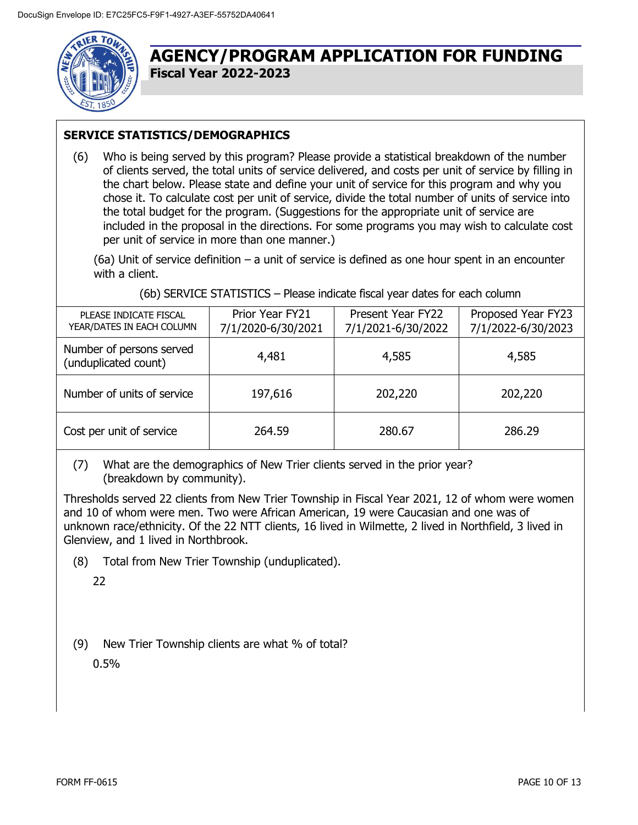

### **SERVICE STATISTICS/DEMOGRAPHICS**

(6) Who is being served by this program? Please provide a statistical breakdown of the number of clients served, the total units of service delivered, and costs per unit of service by filling in the chart below. Please state and define your unit of service for this program and why you chose it. To calculate cost per unit of service, divide the total number of units of service into the total budget for the program. (Suggestions for the appropriate unit of service are included in the proposal in the directions. For some programs you may wish to calculate cost per unit of service in more than one manner.)

(6a) Unit of service definition – a unit of service is defined as one hour spent in an encounter with a client.

| PLEASE INDICATE FISCAL<br>YEAR/DATES IN EACH COLUMN | Prior Year FY21<br>7/1/2020-6/30/2021 | Present Year FY22<br>7/1/2021-6/30/2022 | Proposed Year FY23<br>7/1/2022-6/30/2023 |
|-----------------------------------------------------|---------------------------------------|-----------------------------------------|------------------------------------------|
| Number of persons served<br>(unduplicated count)    | 4,481                                 | 4,585                                   | 4,585                                    |
| Number of units of service                          | 197,616                               | 202,220                                 | 202,220                                  |
| Cost per unit of service                            | 264.59                                | 280.67                                  | 286.29                                   |

(7) What are the demographics of New Trier clients served in the prior year? (breakdown by community).

Thresholds served 22 clients from New Trier Township in Fiscal Year 2021, 12 of whom were women and 10 of whom were men. Two were African American, 19 were Caucasian and one was of unknown race/ethnicity. Of the 22 NTT clients, 16 lived in Wilmette, 2 lived in Northfield, 3 lived in Glenview, and 1 lived in Northbrook.

(8) Total from New Trier Township (unduplicated).

22

(9) New Trier Township clients are what % of total?

0.5%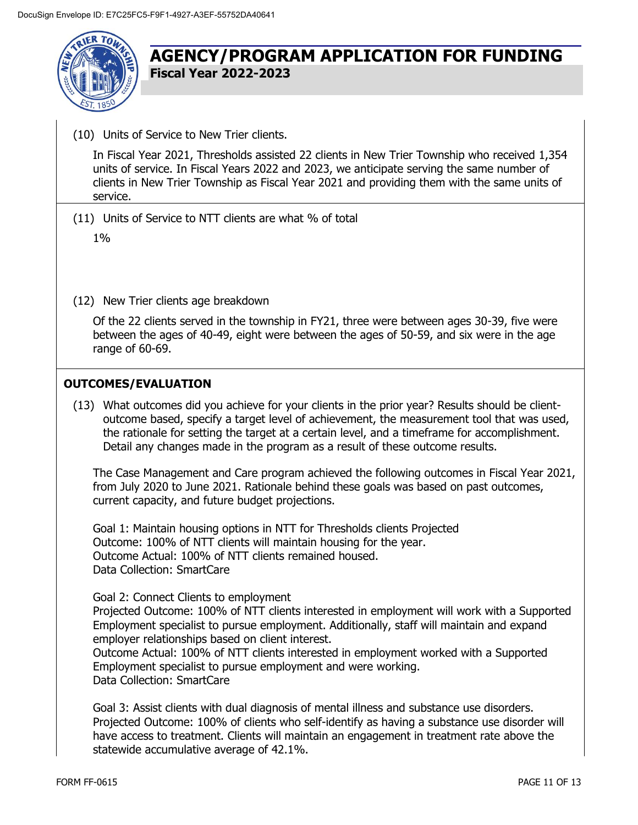

(10) Units of Service to New Trier clients.

In Fiscal Year 2021, Thresholds assisted 22 clients in New Trier Township who received 1,354 units of service. In Fiscal Years 2022 and 2023, we anticipate serving the same number of clients in New Trier Township as Fiscal Year 2021 and providing them with the same units of service.

(11) Units of Service to NTT clients are what % of total

 $1%$ 

(12) New Trier clients age breakdown

Of the 22 clients served in the township in FY21, three were between ages 30-39, five were between the ages of 40-49, eight were between the ages of 50-59, and six were in the age range of 60-69.

### **OUTCOMES/EVALUATION**

(13) What outcomes did you achieve for your clients in the prior year? Results should be clientoutcome based, specify a target level of achievement, the measurement tool that was used, the rationale for setting the target at a certain level, and a timeframe for accomplishment. Detail any changes made in the program as a result of these outcome results.

The Case Management and Care program achieved the following outcomes in Fiscal Year 2021, from July 2020 to June 2021. Rationale behind these goals was based on past outcomes, current capacity, and future budget projections.

Goal 1: Maintain housing options in NTT for Thresholds clients Projected Outcome: 100% of NTT clients will maintain housing for the year. Outcome Actual: 100% of NTT clients remained housed. Data Collection: SmartCare

Goal 2: Connect Clients to employment

Projected Outcome: 100% of NTT clients interested in employment will work with a Supported Employment specialist to pursue employment. Additionally, staff will maintain and expand employer relationships based on client interest.

Outcome Actual: 100% of NTT clients interested in employment worked with a Supported Employment specialist to pursue employment and were working. Data Collection: SmartCare

Goal 3: Assist clients with dual diagnosis of mental illness and substance use disorders. Projected Outcome: 100% of clients who self-identify as having a substance use disorder will have access to treatment. Clients will maintain an engagement in treatment rate above the statewide accumulative average of 42.1%.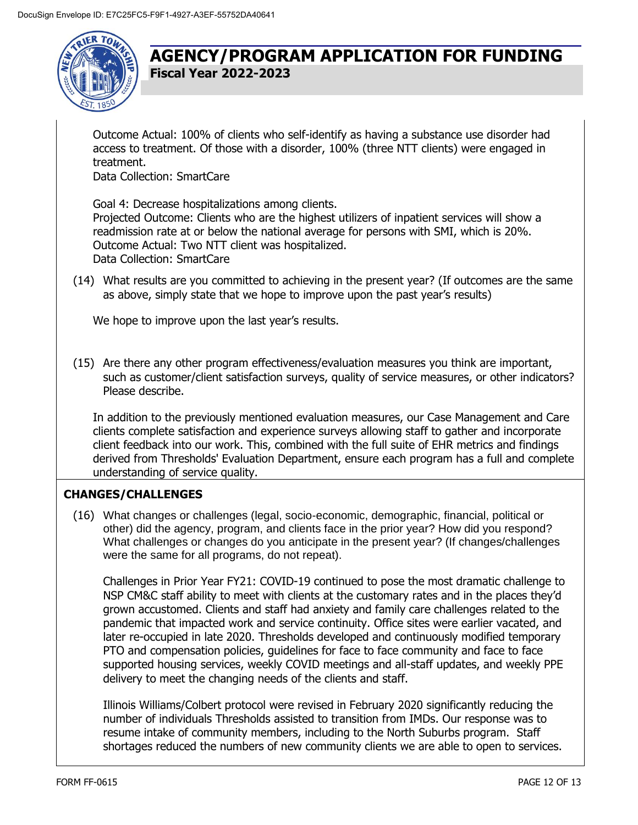

Outcome Actual: 100% of clients who self-identify as having a substance use disorder had access to treatment. Of those with a disorder, 100% (three NTT clients) were engaged in treatment.

Data Collection: SmartCare

Goal 4: Decrease hospitalizations among clients. Projected Outcome: Clients who are the highest utilizers of inpatient services will show a readmission rate at or below the national average for persons with SMI, which is 20%. Outcome Actual: Two NTT client was hospitalized. Data Collection: SmartCare

(14) What results are you committed to achieving in the present year? (If outcomes are the same as above, simply state that we hope to improve upon the past year's results)

We hope to improve upon the last year's results.

(15) Are there any other program effectiveness/evaluation measures you think are important, such as customer/client satisfaction surveys, quality of service measures, or other indicators? Please describe.

In addition to the previously mentioned evaluation measures, our Case Management and Care clients complete satisfaction and experience surveys allowing staff to gather and incorporate client feedback into our work. This, combined with the full suite of EHR metrics and findings derived from Thresholds' Evaluation Department, ensure each program has a full and complete understanding of service quality.

### **CHANGES/CHALLENGES**

(16) What changes or challenges (legal, socio-economic, demographic, financial, political or other) did the agency, program, and clients face in the prior year? How did you respond? What challenges or changes do you anticipate in the present year? (If changes/challenges were the same for all programs, do not repeat).

Challenges in Prior Year FY21: COVID-19 continued to pose the most dramatic challenge to NSP CM&C staff ability to meet with clients at the customary rates and in the places they'd grown accustomed. Clients and staff had anxiety and family care challenges related to the pandemic that impacted work and service continuity. Office sites were earlier vacated, and later re-occupied in late 2020. Thresholds developed and continuously modified temporary PTO and compensation policies, guidelines for face to face community and face to face supported housing services, weekly COVID meetings and all-staff updates, and weekly PPE delivery to meet the changing needs of the clients and staff.

Illinois Williams/Colbert protocol were revised in February 2020 significantly reducing the number of individuals Thresholds assisted to transition from IMDs. Our response was to resume intake of community members, including to the North Suburbs program. Staff shortages reduced the numbers of new community clients we are able to open to services.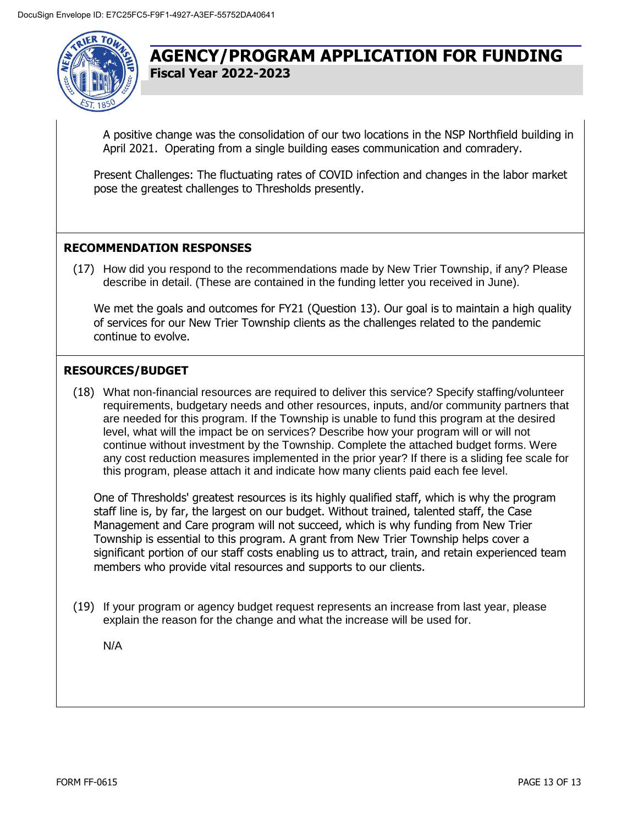

A positive change was the consolidation of our two locations in the NSP Northfield building in April 2021. Operating from a single building eases communication and comradery.

Present Challenges: The fluctuating rates of COVID infection and changes in the labor market pose the greatest challenges to Thresholds presently.

#### **RECOMMENDATION RESPONSES**

(17) How did you respond to the recommendations made by New Trier Township, if any? Please describe in detail. (These are contained in the funding letter you received in June).

We met the goals and outcomes for FY21 (Question 13). Our goal is to maintain a high quality of services for our New Trier Township clients as the challenges related to the pandemic continue to evolve.

#### **RESOURCES/BUDGET**

(18) What non-financial resources are required to deliver this service? Specify staffing/volunteer requirements, budgetary needs and other resources, inputs, and/or community partners that are needed for this program. If the Township is unable to fund this program at the desired level, what will the impact be on services? Describe how your program will or will not continue without investment by the Township. Complete the attached budget forms. Were any cost reduction measures implemented in the prior year? If there is a sliding fee scale for this program, please attach it and indicate how many clients paid each fee level.

One of Thresholds' greatest resources is its highly qualified staff, which is why the program staff line is, by far, the largest on our budget. Without trained, talented staff, the Case Management and Care program will not succeed, which is why funding from New Trier Township is essential to this program. A grant from New Trier Township helps cover a significant portion of our staff costs enabling us to attract, train, and retain experienced team members who provide vital resources and supports to our clients.

(19) If your program or agency budget request represents an increase from last year, please explain the reason for the change and what the increase will be used for.

N/A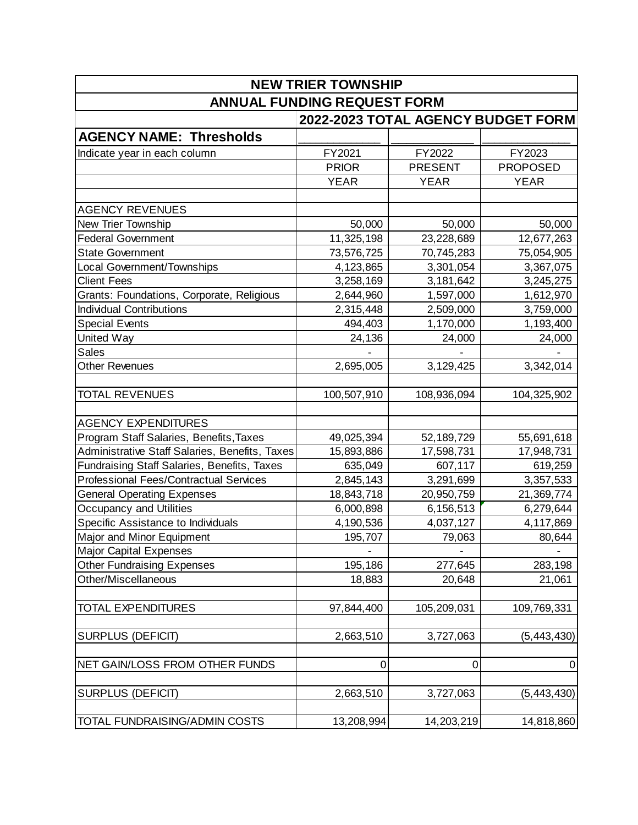|                                                | <b>NEW TRIER TOWNSHIP</b>          |                |                 |  |  |
|------------------------------------------------|------------------------------------|----------------|-----------------|--|--|
| <b>ANNUAL FUNDING REQUEST FORM</b>             |                                    |                |                 |  |  |
|                                                | 2022-2023 TOTAL AGENCY BUDGET FORM |                |                 |  |  |
| <b>AGENCY NAME: Thresholds</b>                 |                                    |                |                 |  |  |
| Indicate year in each column                   | FY2021                             | FY2022         | FY2023          |  |  |
|                                                | <b>PRIOR</b>                       | <b>PRESENT</b> | <b>PROPOSED</b> |  |  |
|                                                | <b>YEAR</b>                        | <b>YEAR</b>    | <b>YEAR</b>     |  |  |
| <b>AGENCY REVENUES</b>                         |                                    |                |                 |  |  |
|                                                |                                    |                |                 |  |  |
| New Trier Township                             | 50,000                             | 50,000         | 50,000          |  |  |
| <b>Federal Government</b>                      | 11,325,198                         | 23,228,689     | 12,677,263      |  |  |
| <b>State Government</b>                        | 73,576,725                         | 70,745,283     | 75,054,905      |  |  |
| Local Government/Townships                     | 4,123,865                          | 3,301,054      | 3,367,075       |  |  |
| <b>Client Fees</b>                             | 3,258,169                          | 3,181,642      | 3,245,275       |  |  |
| Grants: Foundations, Corporate, Religious      | 2,644,960                          | 1,597,000      | 1,612,970       |  |  |
| <b>Individual Contributions</b>                | 2,315,448                          | 2,509,000      | 3,759,000       |  |  |
| <b>Special Events</b>                          | 494,403                            | 1,170,000      | 1,193,400       |  |  |
| United Way                                     | 24,136                             | 24,000         | 24,000          |  |  |
| <b>Sales</b>                                   |                                    |                |                 |  |  |
| <b>Other Revenues</b>                          | 2,695,005                          | 3,129,425      | 3,342,014       |  |  |
| TOTAL REVENUES                                 | 100,507,910                        | 108,936,094    | 104,325,902     |  |  |
| <b>AGENCY EXPENDITURES</b>                     |                                    |                |                 |  |  |
| Program Staff Salaries, Benefits, Taxes        | 49,025,394                         | 52, 189, 729   | 55,691,618      |  |  |
| Administrative Staff Salaries, Benefits, Taxes | 15,893,886                         | 17,598,731     | 17,948,731      |  |  |
| Fundraising Staff Salaries, Benefits, Taxes    | 635,049                            | 607,117        | 619,259         |  |  |
| <b>Professional Fees/Contractual Services</b>  | 2,845,143                          | 3,291,699      | 3,357,533       |  |  |
| <b>General Operating Expenses</b>              | 18,843,718                         | 20,950,759     | 21,369,774      |  |  |
| Occupancy and Utilities                        | 6,000,898                          | 6,156,513      | 6,279,644       |  |  |
| Specific Assistance to Individuals             | 4,190,536                          | 4,037,127      | 4,117,869       |  |  |
| Major and Minor Equipment                      | 195,707                            | 79,063         | 80,644          |  |  |
| <b>Major Capital Expenses</b>                  |                                    |                |                 |  |  |
| <b>Other Fundraising Expenses</b>              | 195,186                            | 277,645        | 283,198         |  |  |
| Other/Miscellaneous                            | 18,883                             | 20,648         |                 |  |  |
|                                                |                                    |                | 21,061          |  |  |
| <b>TOTAL EXPENDITURES</b>                      | 97,844,400                         | 105,209,031    | 109,769,331     |  |  |
| <b>SURPLUS (DEFICIT)</b>                       | 2,663,510                          | 3,727,063      | (5, 443, 430)   |  |  |
| NET GAIN/LOSS FROM OTHER FUNDS                 | $\mathbf 0$                        | 0              | $\mathbf 0$     |  |  |
| <b>SURPLUS (DEFICIT)</b>                       | 2,663,510                          | 3,727,063      | (5, 443, 430)   |  |  |
| TOTAL FUNDRAISING/ADMIN COSTS                  | 13,208,994                         | 14,203,219     | 14,818,860      |  |  |